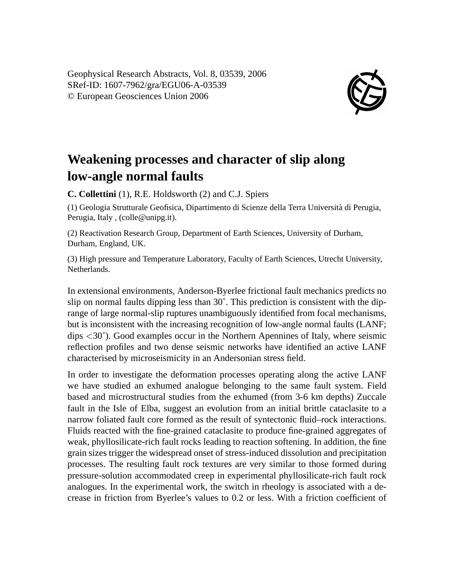Geophysical Research Abstracts, Vol. 8, 03539, 2006 SRef-ID: 1607-7962/gra/EGU06-A-03539 © European Geosciences Union 2006



## **Weakening processes and character of slip along low-angle normal faults**

**C. Collettini** (1), R.E. Holdsworth (2) and C.J. Spiers

(1) Geologia Strutturale Geofisica, Dipartimento di Scienze della Terra Università di Perugia, Perugia, Italy , (colle@unipg.it).

(2) Reactivation Research Group, Department of Earth Sciences, University of Durham, Durham, England, UK.

(3) High pressure and Temperature Laboratory, Faculty of Earth Sciences, Utrecht University, **Netherlands** 

In extensional environments, Anderson-Byerlee frictional fault mechanics predicts no slip on normal faults dipping less than  $30^\circ$ . This prediction is consistent with the diprange of large normal-slip ruptures unambiguously identified from focal mechanisms, but is inconsistent with the increasing recognition of low-angle normal faults (LANF; dips <30˚). Good examples occur in the Northern Apennines of Italy, where seismic reflection profiles and two dense seismic networks have identified an active LANF characterised by microseismicity in an Andersonian stress field.

In order to investigate the deformation processes operating along the active LANF we have studied an exhumed analogue belonging to the same fault system. Field based and microstructural studies from the exhumed (from 3-6 km depths) Zuccale fault in the Isle of Elba, suggest an evolution from an initial brittle cataclasite to a narrow foliated fault core formed as the result of syntectonic fluid–rock interactions. Fluids reacted with the fine-grained cataclasite to produce fine-grained aggregates of weak, phyllosilicate-rich fault rocks leading to reaction softening. In addition, the fine grain sizes trigger the widespread onset of stress-induced dissolution and precipitation processes. The resulting fault rock textures are very similar to those formed during pressure-solution accommodated creep in experimental phyllosilicate-rich fault rock analogues. In the experimental work, the switch in rheology is associated with a decrease in friction from Byerlee's values to 0.2 or less. With a friction coefficient of